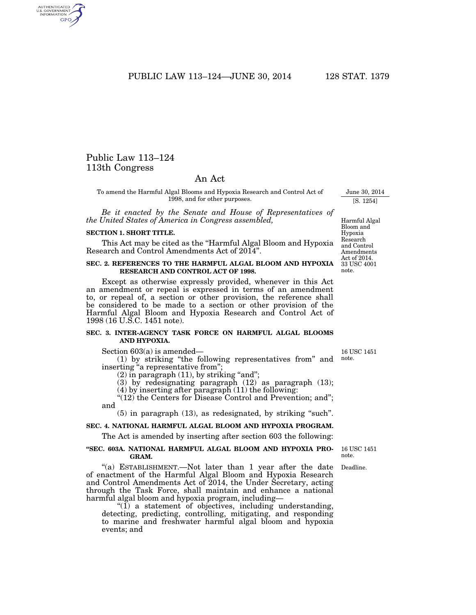PUBLIC LAW 113–124—JUNE 30, 2014 128 STAT. 1379

# Public Law 113–124 113th Congress

AUTHENTICATED<br>U.S. GOVERNMENT<br>INFORMATION GPO

## An Act

To amend the Harmful Algal Blooms and Hypoxia Research and Control Act of 1998, and for other purposes.

*Be it enacted by the Senate and House of Representatives of the United States of America in Congress assembled,* 

#### **SECTION 1. SHORT TITLE.**

This Act may be cited as the "Harmful Algal Bloom and Hypoxia" Research and Control Amendments Act of 2014''.

### **SEC. 2. REFERENCES TO THE HARMFUL ALGAL BLOOM AND HYPOXIA RESEARCH AND CONTROL ACT OF 1998.**

Except as otherwise expressly provided, whenever in this Act an amendment or repeal is expressed in terms of an amendment to, or repeal of, a section or other provision, the reference shall be considered to be made to a section or other provision of the Harmful Algal Bloom and Hypoxia Research and Control Act of 1998 (16 U.S.C. 1451 note).

#### **SEC. 3. INTER-AGENCY TASK FORCE ON HARMFUL ALGAL BLOOMS AND HYPOXIA.**

Section 603(a) is amended—

events; and

(1) by striking ''the following representatives from'' and inserting ''a representative from''; note.

 $(2)$  in paragraph  $(11)$ , by striking "and";

harmful algal bloom and hypoxia program, including—

(3) by redesignating paragraph (12) as paragraph (13); (4) by inserting after paragraph (11) the following:

''(12) the Centers for Disease Control and Prevention; and''; and

 $(5)$  in paragraph  $(13)$ , as redesignated, by striking "such".

#### **SEC. 4. NATIONAL HARMFUL ALGAL BLOOM AND HYPOXIA PROGRAM.**

The Act is amended by inserting after section 603 the following:

"(a) ESTABLISHMENT.—Not later than 1 year after the date of enactment of the Harmful Algal Bloom and Hypoxia Research and Control Amendments Act of 2014, the Under Secretary, acting through the Task Force, shall maintain and enhance a national

 $\mathcal{I}(\tilde{1})$  a statement of objectives, including understanding, detecting, predicting, controlling, mitigating, and responding to marine and freshwater harmful algal bloom and hypoxia

#### **''SEC. 603A. NATIONAL HARMFUL ALGAL BLOOM AND HYPOXIA PRO-GRAM.**

16 USC 1451 note.

Deadline.

16 USC 1451

June 30, 2014 [S. 1254]

Harmful Algal Bloom and Hypoxia Research and Control Amendments Act of 2014.

33 USC 4001 note.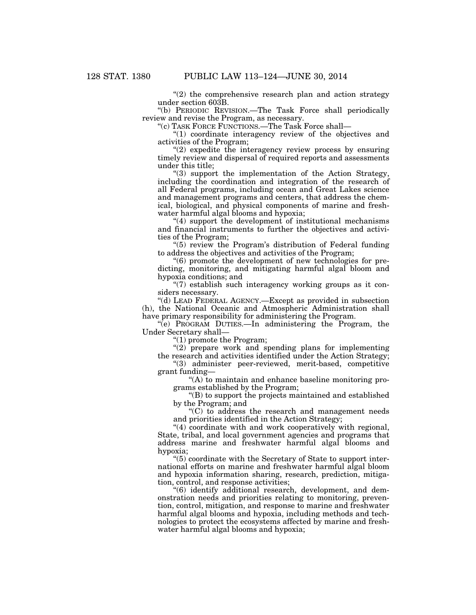$(2)$  the comprehensive research plan and action strategy under section 603B.

''(b) PERIODIC REVISION.—The Task Force shall periodically review and revise the Program, as necessary.

''(c) TASK FORCE FUNCTIONS.—The Task Force shall—

 $(1)$  coordinate interagency review of the objectives and activities of the Program;

 $(2)$  expedite the interagency review process by ensuring timely review and dispersal of required reports and assessments under this title;

''(3) support the implementation of the Action Strategy, including the coordination and integration of the research of all Federal programs, including ocean and Great Lakes science and management programs and centers, that address the chemical, biological, and physical components of marine and freshwater harmful algal blooms and hypoxia;

''(4) support the development of institutional mechanisms and financial instruments to further the objectives and activities of the Program;

''(5) review the Program's distribution of Federal funding to address the objectives and activities of the Program;

''(6) promote the development of new technologies for predicting, monitoring, and mitigating harmful algal bloom and hypoxia conditions; and

 $\degree$ (7) establish such interagency working groups as it considers necessary.

''(d) LEAD FEDERAL AGENCY.—Except as provided in subsection (h), the National Oceanic and Atmospheric Administration shall have primary responsibility for administering the Program.

''(e) PROGRAM DUTIES.—In administering the Program, the Under Secretary shall—

''(1) promote the Program;

" $(2)$  prepare work and spending plans for implementing the research and activities identified under the Action Strategy;

''(3) administer peer-reviewed, merit-based, competitive grant funding—

''(A) to maintain and enhance baseline monitoring programs established by the Program;

''(B) to support the projects maintained and established by the Program; and

 $C$  to address the research and management needs and priorities identified in the Action Strategy;

"(4) coordinate with and work cooperatively with regional, State, tribal, and local government agencies and programs that address marine and freshwater harmful algal blooms and hypoxia;

 $(5)$  coordinate with the Secretary of State to support international efforts on marine and freshwater harmful algal bloom and hypoxia information sharing, research, prediction, mitigation, control, and response activities;

''(6) identify additional research, development, and demonstration needs and priorities relating to monitoring, prevention, control, mitigation, and response to marine and freshwater harmful algal blooms and hypoxia, including methods and technologies to protect the ecosystems affected by marine and freshwater harmful algal blooms and hypoxia;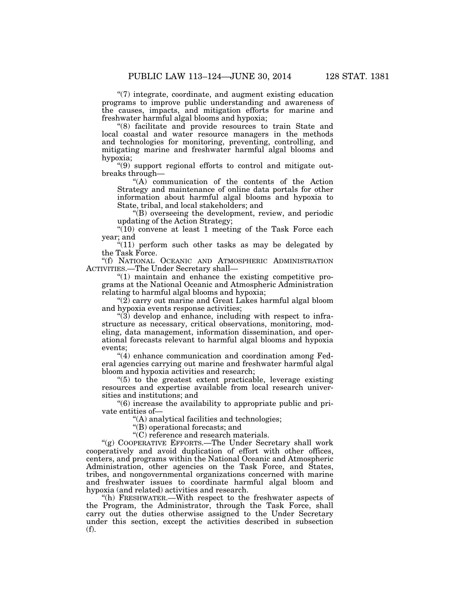''(7) integrate, coordinate, and augment existing education programs to improve public understanding and awareness of the causes, impacts, and mitigation efforts for marine and freshwater harmful algal blooms and hypoxia;

''(8) facilitate and provide resources to train State and local coastal and water resource managers in the methods and technologies for monitoring, preventing, controlling, and mitigating marine and freshwater harmful algal blooms and hypoxia;

''(9) support regional efforts to control and mitigate outbreaks through—

''(A) communication of the contents of the Action Strategy and maintenance of online data portals for other information about harmful algal blooms and hypoxia to State, tribal, and local stakeholders; and

''(B) overseeing the development, review, and periodic updating of the Action Strategy;

"(10) convene at least 1 meeting of the Task Force each year; and

 $*(11)$  perform such other tasks as may be delegated by the Task Force.

''(f) NATIONAL OCEANIC AND ATMOSPHERIC ADMINISTRATION ACTIVITIES.—The Under Secretary shall—

 $''(1)$  maintain and enhance the existing competitive programs at the National Oceanic and Atmospheric Administration relating to harmful algal blooms and hypoxia;

''(2) carry out marine and Great Lakes harmful algal bloom and hypoxia events response activities;

 $\cdot$ (3) develop and enhance, including with respect to infrastructure as necessary, critical observations, monitoring, modeling, data management, information dissemination, and operational forecasts relevant to harmful algal blooms and hypoxia events;

 $''(4)$  enhance communication and coordination among Federal agencies carrying out marine and freshwater harmful algal bloom and hypoxia activities and research;

 $(5)$  to the greatest extent practicable, leverage existing resources and expertise available from local research universities and institutions; and

''(6) increase the availability to appropriate public and private entities of—

''(A) analytical facilities and technologies;

''(B) operational forecasts; and

''(C) reference and research materials.

"(g) COOPERATIVE EFFORTS.—The Under Secretary shall work cooperatively and avoid duplication of effort with other offices, centers, and programs within the National Oceanic and Atmospheric Administration, other agencies on the Task Force, and States, tribes, and nongovernmental organizations concerned with marine and freshwater issues to coordinate harmful algal bloom and hypoxia (and related) activities and research.

''(h) FRESHWATER.—With respect to the freshwater aspects of the Program, the Administrator, through the Task Force, shall carry out the duties otherwise assigned to the Under Secretary under this section, except the activities described in subsection (f).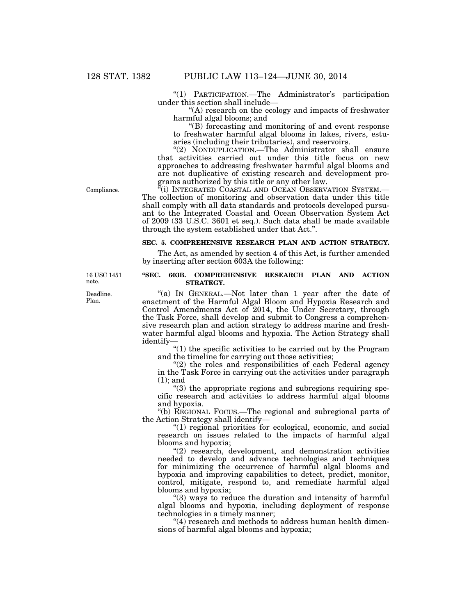''(1) PARTICIPATION.—The Administrator's participation under this section shall include—

''(A) research on the ecology and impacts of freshwater harmful algal blooms; and

''(B) forecasting and monitoring of and event response to freshwater harmful algal blooms in lakes, rivers, estuaries (including their tributaries), and reservoirs.

''(2) NONDUPLICATION.—The Administrator shall ensure that activities carried out under this title focus on new approaches to addressing freshwater harmful algal blooms and are not duplicative of existing research and development programs authorized by this title or any other law.

Compliance.

"(i) INTEGRATED COASTAL AND OCEAN OBSERVATION SYSTEM.— The collection of monitoring and observation data under this title shall comply with all data standards and protocols developed pursuant to the Integrated Coastal and Ocean Observation System Act of 2009 (33 U.S.C. 3601 et seq.). Such data shall be made available through the system established under that Act.''.

## **SEC. 5. COMPREHENSIVE RESEARCH PLAN AND ACTION STRATEGY.**

The Act, as amended by section 4 of this Act, is further amended by inserting after section 603A the following:

## **''SEC. 603B. COMPREHENSIVE RESEARCH PLAN AND ACTION STRATEGY.**

"(a) IN GENERAL.—Not later than 1 year after the date of enactment of the Harmful Algal Bloom and Hypoxia Research and Control Amendments Act of 2014, the Under Secretary, through the Task Force, shall develop and submit to Congress a comprehensive research plan and action strategy to address marine and freshwater harmful algal blooms and hypoxia. The Action Strategy shall identify—

" $(1)$  the specific activities to be carried out by the Program and the timeline for carrying out those activities;

"(2) the roles and responsibilities of each Federal agency in the Task Force in carrying out the activities under paragraph (1); and

"(3) the appropriate regions and subregions requiring specific research and activities to address harmful algal blooms and hypoxia.

''(b) REGIONAL FOCUS.—The regional and subregional parts of the Action Strategy shall identify—

"(1) regional priorities for ecological, economic, and social research on issues related to the impacts of harmful algal blooms and hypoxia;

"(2) research, development, and demonstration activities needed to develop and advance technologies and techniques for minimizing the occurrence of harmful algal blooms and hypoxia and improving capabilities to detect, predict, monitor, control, mitigate, respond to, and remediate harmful algal blooms and hypoxia;

''(3) ways to reduce the duration and intensity of harmful algal blooms and hypoxia, including deployment of response technologies in a timely manner;

"(4) research and methods to address human health dimensions of harmful algal blooms and hypoxia;

16 USC 1451 note.

Deadline. Plan.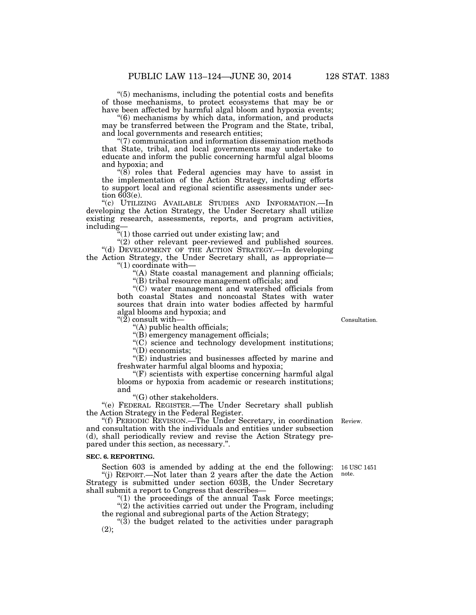''(5) mechanisms, including the potential costs and benefits of those mechanisms, to protect ecosystems that may be or have been affected by harmful algal bloom and hypoxia events;

''(6) mechanisms by which data, information, and products may be transferred between the Program and the State, tribal, and local governments and research entities;

''(7) communication and information dissemination methods that State, tribal, and local governments may undertake to educate and inform the public concerning harmful algal blooms and hypoxia; and

 $(8)$  roles that Federal agencies may have to assist in the implementation of the Action Strategy, including efforts to support local and regional scientific assessments under section  $603(e)$ .

''(c) UTILIZING AVAILABLE STUDIES AND INFORMATION.—In developing the Action Strategy, the Under Secretary shall utilize existing research, assessments, reports, and program activities, including—

 $\sqrt[4]{(1)}$  those carried out under existing law; and

 $'(2)$  other relevant peer-reviewed and published sources. "(d) DEVELOPMENT OF THE ACTION STRATEGY.—In developing the Action Strategy, the Under Secretary shall, as appropriate— ''(1) coordinate with—

''(A) State coastal management and planning officials;

''(B) tribal resource management officials; and

''(C) water management and watershed officials from both coastal States and noncoastal States with water sources that drain into water bodies affected by harmful algal blooms and hypoxia; and

 $\H$ "(2) consult with-

''(A) public health officials;

''(B) emergency management officials;

"(C) science and technology development institutions; ''(D) economists;

''(E) industries and businesses affected by marine and freshwater harmful algal blooms and hypoxia;

''(F) scientists with expertise concerning harmful algal blooms or hypoxia from academic or research institutions; and

''(G) other stakeholders.

''(e) FEDERAL REGISTER.—The Under Secretary shall publish the Action Strategy in the Federal Register.

''(f) PERIODIC REVISION.—The Under Secretary, in coordination Review. and consultation with the individuals and entities under subsection (d), shall periodically review and revise the Action Strategy prepared under this section, as necessary.''.

#### **SEC. 6. REPORTING.**

Section 603 is amended by adding at the end the following: ''(j) REPORT.—Not later than 2 years after the date the Action Strategy is submitted under section 603B, the Under Secretary shall submit a report to Congress that describes—

" $(1)$  the proceedings of the annual Task Force meetings;

 $\hat{C}(2)$  the activities carried out under the Program, including the regional and subregional parts of the Action Strategy;

 $(3)$  the budget related to the activities under paragraph (2);

Consultation.

16 USC 1451

note.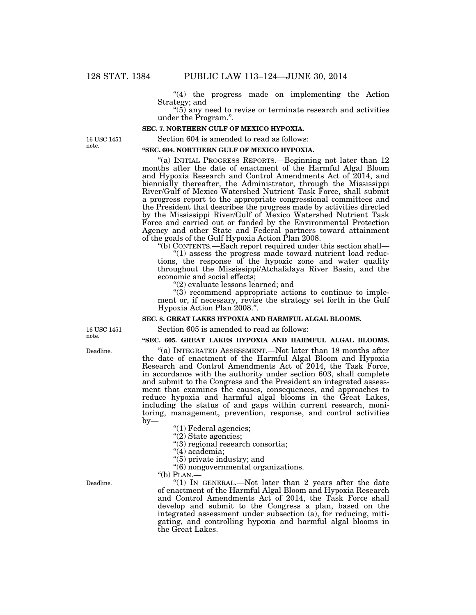''(4) the progress made on implementing the Action Strategy; and

 $(5)$  any need to revise or terminate research and activities under the Program.''.

#### **SEC. 7. NORTHERN GULF OF MEXICO HYPOXIA.**

16 USC 1451 note.

Section 604 is amended to read as follows:

## **''SEC. 604. NORTHERN GULF OF MEXICO HYPOXIA.**

''(a) INITIAL PROGRESS REPORTS.—Beginning not later than 12 months after the date of enactment of the Harmful Algal Bloom and Hypoxia Research and Control Amendments Act of 2014, and biennially thereafter, the Administrator, through the Mississippi River/Gulf of Mexico Watershed Nutrient Task Force, shall submit a progress report to the appropriate congressional committees and the President that describes the progress made by activities directed by the Mississippi River/Gulf of Mexico Watershed Nutrient Task Force and carried out or funded by the Environmental Protection Agency and other State and Federal partners toward attainment of the goals of the Gulf Hypoxia Action Plan 2008.

" $(b)$  CONTENTS.—Each report required under this section shall—

"(1) assess the progress made toward nutrient load reductions, the response of the hypoxic zone and water quality throughout the Mississippi/Atchafalaya River Basin, and the economic and social effects;

''(2) evaluate lessons learned; and

''(3) recommend appropriate actions to continue to implement or, if necessary, revise the strategy set forth in the Gulf Hypoxia Action Plan 2008.''.

#### **SEC. 8. GREAT LAKES HYPOXIA AND HARMFUL ALGAL BLOOMS.**

Section 605 is amended to read as follows:

#### **''SEC. 605. GREAT LAKES HYPOXIA AND HARMFUL ALGAL BLOOMS.**

"(a) INTEGRATED ASSESSMENT.—Not later than 18 months after the date of enactment of the Harmful Algal Bloom and Hypoxia Research and Control Amendments Act of 2014, the Task Force, in accordance with the authority under section 603, shall complete and submit to the Congress and the President an integrated assessment that examines the causes, consequences, and approaches to reduce hypoxia and harmful algal blooms in the Great Lakes, including the status of and gaps within current research, monitoring, management, prevention, response, and control activities by—

''(1) Federal agencies;

''(2) State agencies;

''(3) regional research consortia;

"(4) academia;

''(5) private industry; and

''(6) nongovernmental organizations.

''(b) PLAN.—

''(1) IN GENERAL.—Not later than 2 years after the date of enactment of the Harmful Algal Bloom and Hypoxia Research and Control Amendments Act of 2014, the Task Force shall develop and submit to the Congress a plan, based on the integrated assessment under subsection (a), for reducing, mitigating, and controlling hypoxia and harmful algal blooms in the Great Lakes.

16 USC 1451 note.

Deadline.

Deadline.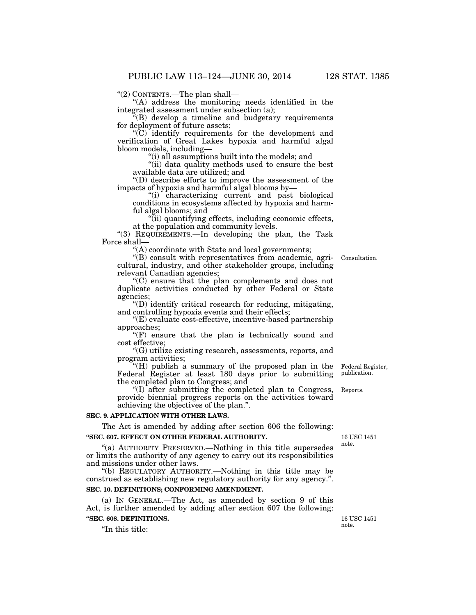''(2) CONTENTS.—The plan shall—

"(A) address the monitoring needs identified in the integrated assessment under subsection (a);

''(B) develop a timeline and budgetary requirements for deployment of future assets;

''(C) identify requirements for the development and verification of Great Lakes hypoxia and harmful algal bloom models, including—

''(i) all assumptions built into the models; and

"(ii) data quality methods used to ensure the best available data are utilized; and

''(D) describe efforts to improve the assessment of the impacts of hypoxia and harmful algal blooms by—

''(i) characterizing current and past biological conditions in ecosystems affected by hypoxia and harmful algal blooms; and

''(ii) quantifying effects, including economic effects, at the population and community levels.

''(3) REQUIREMENTS.—In developing the plan, the Task Force shall—

''(A) coordinate with State and local governments;

''(B) consult with representatives from academic, agricultural, industry, and other stakeholder groups, including relevant Canadian agencies;

''(C) ensure that the plan complements and does not duplicate activities conducted by other Federal or State agencies;

''(D) identify critical research for reducing, mitigating, and controlling hypoxia events and their effects;

''(E) evaluate cost-effective, incentive-based partnership approaches;

"(F) ensure that the plan is technically sound and cost effective;

''(G) utilize existing research, assessments, reports, and program activities;

''(H) publish a summary of the proposed plan in the Federal Register at least 180 days prior to submitting the completed plan to Congress; and

''(I) after submitting the completed plan to Congress, provide biennial progress reports on the activities toward achieving the objectives of the plan.''.

#### **SEC. 9. APPLICATION WITH OTHER LAWS.**

The Act is amended by adding after section 606 the following: **''SEC. 607. EFFECT ON OTHER FEDERAL AUTHORITY.** 

''(a) AUTHORITY PRESERVED.—Nothing in this title supersedes or limits the authority of any agency to carry out its responsibilities and missions under other laws.

''(b) REGULATORY AUTHORITY.—Nothing in this title may be construed as establishing new regulatory authority for any agency.''.

## **SEC. 10. DEFINITIONS; CONFORMING AMENDMENT.**

(a) IN GENERAL.—The Act, as amended by section 9 of this Act, is further amended by adding after section 607 the following: **''SEC. 608. DEFINITIONS.** 

''In this title:

16 USC 1451

Federal Register, publication.

Reports.

16 USC 1451 note.

Consultation.

note.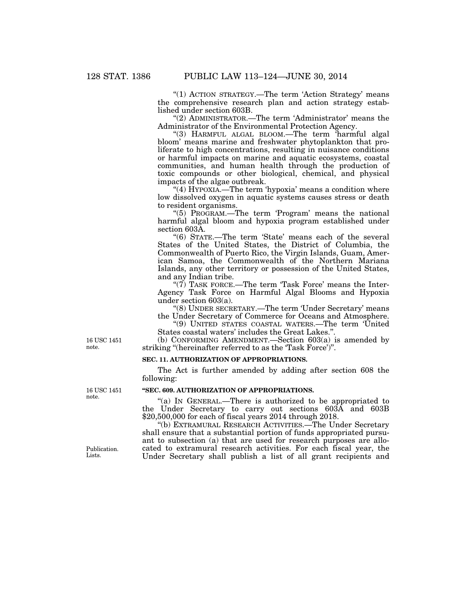"(1) ACTION STRATEGY.—The term 'Action Strategy' means the comprehensive research plan and action strategy established under section 603B.

''(2) ADMINISTRATOR.—The term 'Administrator' means the Administrator of the Environmental Protection Agency.

"(3) HARMFUL ALGAL BLOOM.—The term harmful algal bloom' means marine and freshwater phytoplankton that proliferate to high concentrations, resulting in nuisance conditions or harmful impacts on marine and aquatic ecosystems, coastal communities, and human health through the production of toxic compounds or other biological, chemical, and physical impacts of the algae outbreak.

"(4) HYPOXIA.—The term 'hypoxia' means a condition where low dissolved oxygen in aquatic systems causes stress or death to resident organisms.

"(5) PROGRAM.—The term 'Program' means the national harmful algal bloom and hypoxia program established under section 603A.

"(6) STATE.—The term 'State' means each of the several States of the United States, the District of Columbia, the Commonwealth of Puerto Rico, the Virgin Islands, Guam, American Samoa, the Commonwealth of the Northern Mariana Islands, any other territory or possession of the United States, and any Indian tribe.

" $(7)$  TASK FORCE.—The term 'Task Force' means the Inter-Agency Task Force on Harmful Algal Blooms and Hypoxia under section 603(a).

''(8) UNDER SECRETARY.—The term 'Under Secretary' means the Under Secretary of Commerce for Oceans and Atmosphere.

''(9) UNITED STATES COASTAL WATERS.—The term 'United States coastal waters' includes the Great Lakes.''.

(b) CONFORMING AMENDMENT.—Section 603(a) is amended by striking "(hereinafter referred to as the 'Task Force')".

### **SEC. 11. AUTHORIZATION OF APPROPRIATIONS.**

The Act is further amended by adding after section 608 the following:

## **''SEC. 609. AUTHORIZATION OF APPROPRIATIONS.**

''(a) IN GENERAL.—There is authorized to be appropriated to the Under Secretary to carry out sections 603A and 603B \$20,500,000 for each of fiscal years 2014 through 2018.

''(b) EXTRAMURAL RESEARCH ACTIVITIES.—The Under Secretary shall ensure that a substantial portion of funds appropriated pursuant to subsection (a) that are used for research purposes are allocated to extramural research activities. For each fiscal year, the Under Secretary shall publish a list of all grant recipients and

16 USC 1451 note.

16 USC 1451 note.

Publication. Lists.